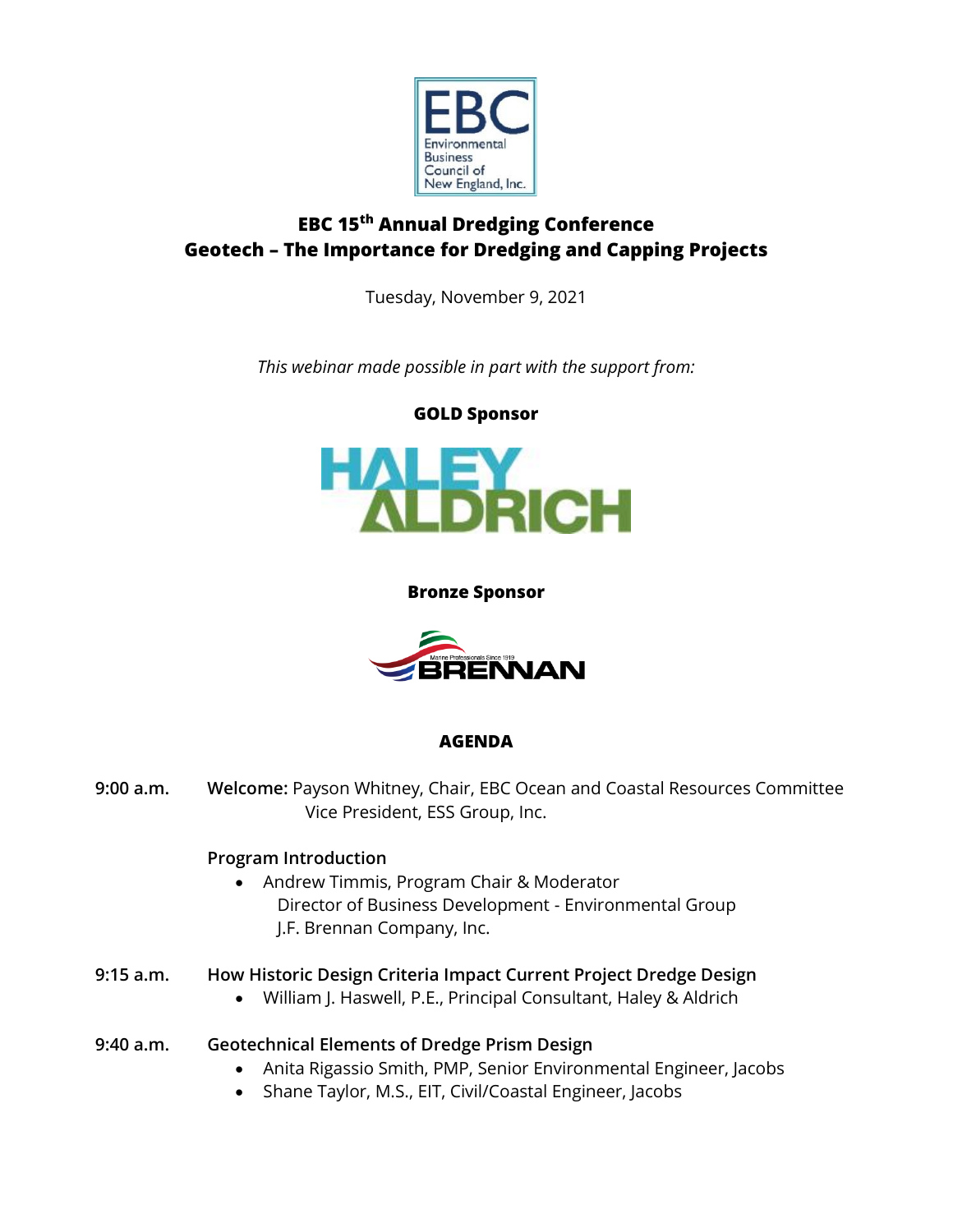

# **EBC 15th Annual Dredging Conference Geotech – The Importance for Dredging and Capping Projects**

Tuesday, November 9, 2021

*This webinar made possible in part with the support from:*



### **Bronze Sponsor**



# **AGENDA**

**9:00 a.m. Welcome:** Payson Whitney, Chair, EBC Ocean and Coastal Resources Committee Vice President, ESS Group, Inc.

# **Program Introduction**

- Andrew Timmis, Program Chair & Moderator Director of Business Development - Environmental Group J.F. Brennan Company, Inc.
- **9:15 a.m. How Historic Design Criteria Impact Current Project Dredge Design**
	- William J. Haswell, P.E., Principal Consultant, Haley & Aldrich

# **9:40 a.m. Geotechnical Elements of Dredge Prism Design**

- Anita Rigassio Smith, PMP, Senior Environmental Engineer, Jacobs
- Shane Taylor, M.S., EIT, Civil/Coastal Engineer, Jacobs

#### **GOLD Sponsor**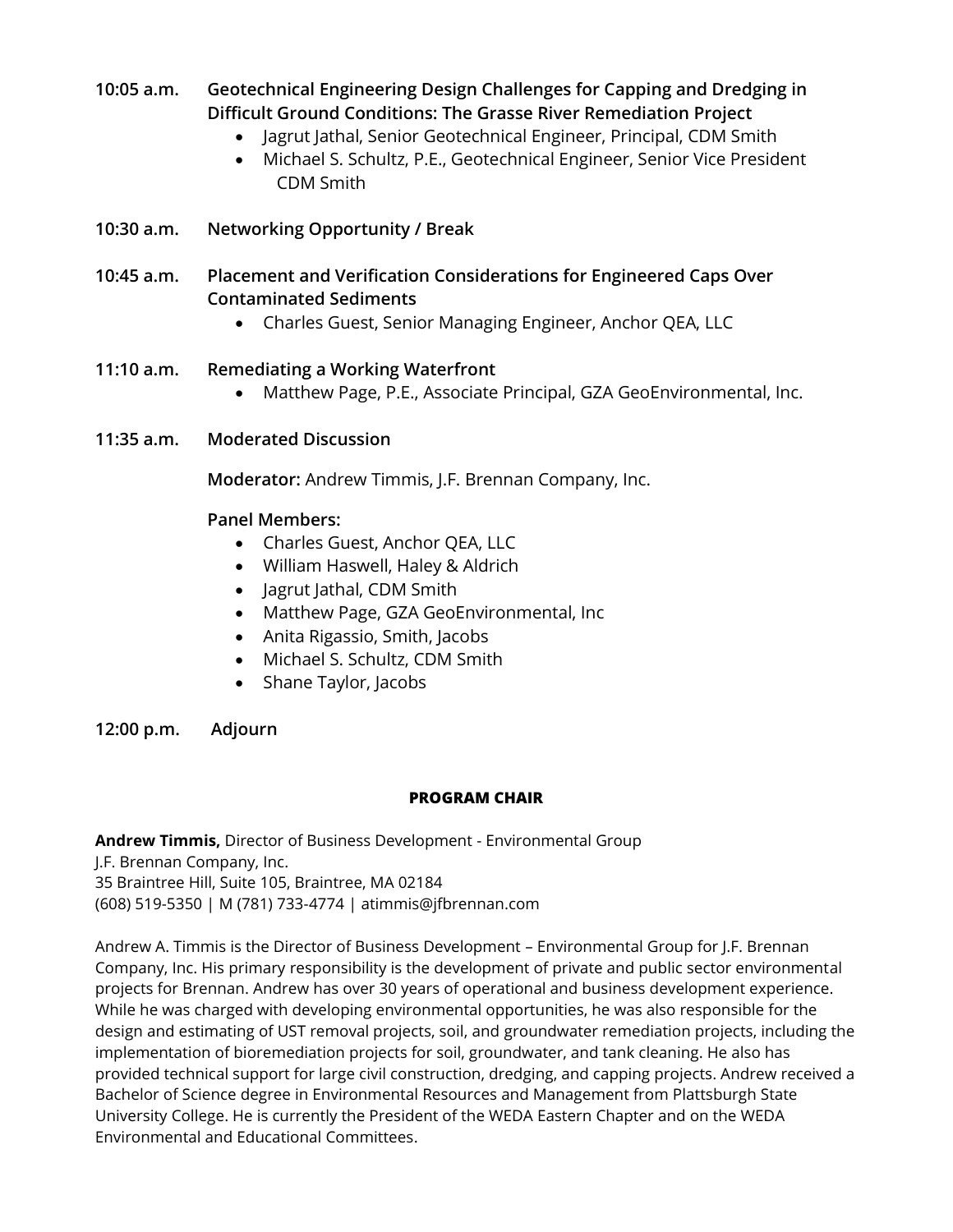# **10:05 a.m. Geotechnical Engineering Design Challenges for Capping and Dredging in Difficult Ground Conditions: The Grasse River Remediation Project**

- Jagrut Jathal, Senior Geotechnical Engineer, Principal, CDM Smith
- Michael S. Schultz, P.E., Geotechnical Engineer, Senior Vice President CDM Smith
- **10:30 a.m. Networking Opportunity / Break**
- **10:45 a.m. Placement and Verification Considerations for Engineered Caps Over Contaminated Sediments**
	- Charles Guest, Senior Managing Engineer, Anchor QEA, LLC

### **11:10 a.m. Remediating a Working Waterfront**

- Matthew Page, P.E., Associate Principal, GZA GeoEnvironmental, Inc.
- **11:35 a.m. Moderated Discussion**

**Moderator:** Andrew Timmis, J.F. Brennan Company, Inc.

### **Panel Members:**

- Charles Guest, Anchor QEA, LLC
- William Haswell, Haley & Aldrich
- Jagrut Jathal, CDM Smith
- Matthew Page, GZA GeoEnvironmental, Inc
- Anita Rigassio, Smith, Jacobs
- Michael S. Schultz, CDM Smith
- Shane Taylor, Jacobs
- **12:00 p.m. Adjourn**

#### **PROGRAM CHAIR**

**Andrew Timmis,** Director of Business Development - Environmental Group J.F. Brennan Company, Inc. 35 Braintree Hill, Suite 105, Braintree, MA 02184 (608) 519-5350 | M (781) 733-4774 | atimmis@jfbrennan.com

Andrew A. Timmis is the Director of Business Development – Environmental Group for J.F. Brennan Company, Inc. His primary responsibility is the development of private and public sector environmental projects for Brennan. Andrew has over 30 years of operational and business development experience. While he was charged with developing environmental opportunities, he was also responsible for the design and estimating of UST removal projects, soil, and groundwater remediation projects, including the implementation of bioremediation projects for soil, groundwater, and tank cleaning. He also has provided technical support for large civil construction, dredging, and capping projects. Andrew received a Bachelor of Science degree in Environmental Resources and Management from Plattsburgh State University College. He is currently the President of the WEDA Eastern Chapter and on the WEDA Environmental and Educational Committees.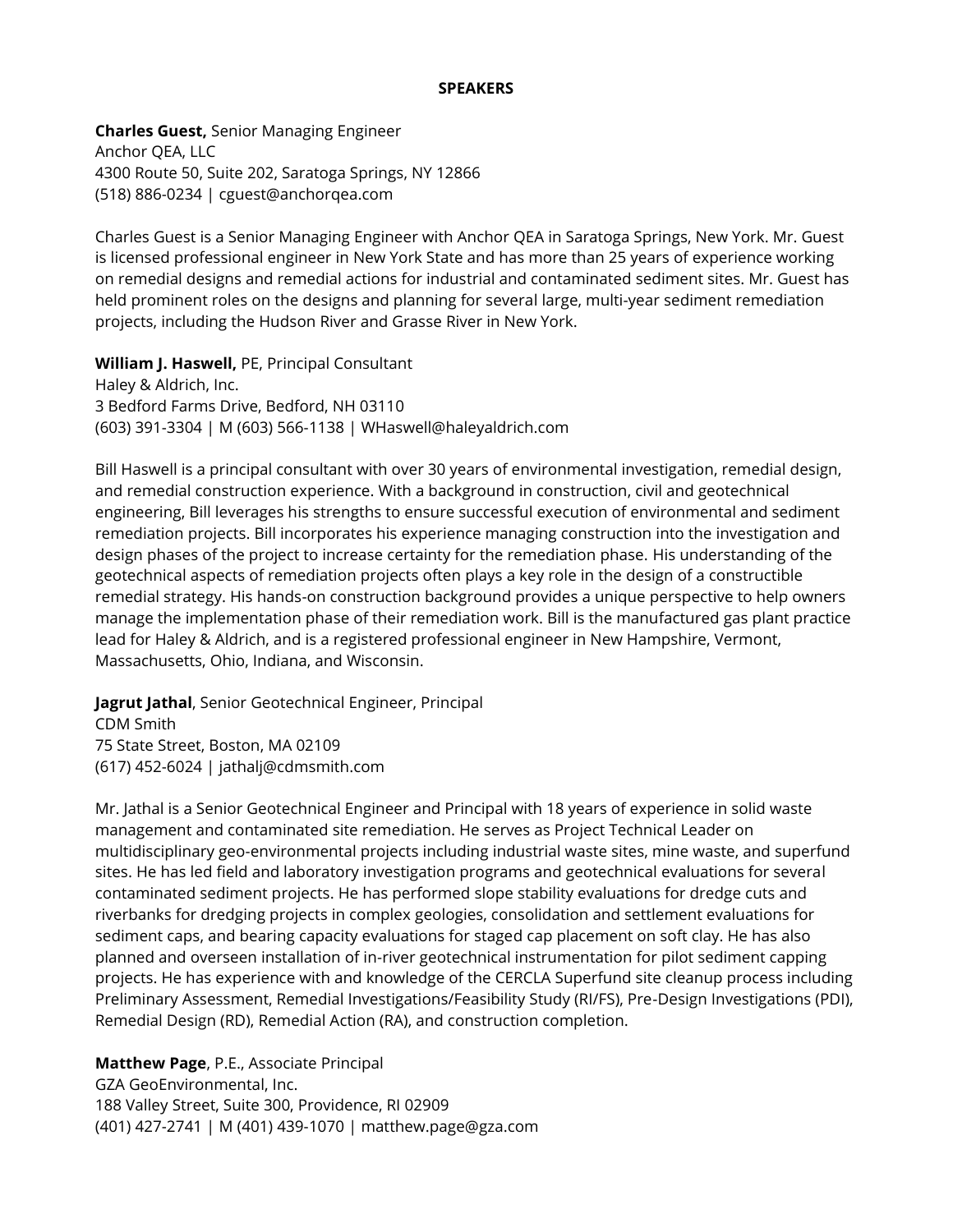#### **SPEAKERS**

**Charles Guest,** Senior Managing Engineer Anchor QEA, LLC 4300 Route 50, Suite 202, Saratoga Springs, NY 12866 (518) 886-0234 | cguest@anchorqea.com

Charles Guest is a Senior Managing Engineer with Anchor QEA in Saratoga Springs, New York. Mr. Guest is licensed professional engineer in New York State and has more than 25 years of experience working on remedial designs and remedial actions for industrial and contaminated sediment sites. Mr. Guest has held prominent roles on the designs and planning for several large, multi-year sediment remediation projects, including the Hudson River and Grasse River in New York.

**William J. Haswell,** PE, Principal Consultant Haley & Aldrich, Inc. 3 Bedford Farms Drive, Bedford, NH 03110 (603) 391-3304 | M (603) 566-1138 | WHaswell@haleyaldrich.com

Bill Haswell is a principal consultant with over 30 years of environmental investigation, remedial design, and remedial construction experience. With a background in construction, civil and geotechnical engineering, Bill leverages his strengths to ensure successful execution of environmental and sediment remediation projects. Bill incorporates his experience managing construction into the investigation and design phases of the project to increase certainty for the remediation phase. His understanding of the geotechnical aspects of remediation projects often plays a key role in the design of a constructible remedial strategy. His hands-on construction background provides a unique perspective to help owners manage the implementation phase of their remediation work. Bill is the manufactured gas plant practice lead for Haley & Aldrich, and is a registered professional engineer in New Hampshire, Vermont, Massachusetts, Ohio, Indiana, and Wisconsin.

**Jagrut Jathal**, Senior Geotechnical Engineer, Principal CDM Smith 75 State Street, Boston, MA 02109 (617) 452-6024 | jathalj@cdmsmith.com

Mr. Jathal is a Senior Geotechnical Engineer and Principal with 18 years of experience in solid waste management and contaminated site remediation. He serves as Project Technical Leader on multidisciplinary geo-environmental projects including industrial waste sites, mine waste, and superfund sites. He has led field and laboratory investigation programs and geotechnical evaluations for several contaminated sediment projects. He has performed slope stability evaluations for dredge cuts and riverbanks for dredging projects in complex geologies, consolidation and settlement evaluations for sediment caps, and bearing capacity evaluations for staged cap placement on soft clay. He has also planned and overseen installation of in-river geotechnical instrumentation for pilot sediment capping projects. He has experience with and knowledge of the CERCLA Superfund site cleanup process including Preliminary Assessment, Remedial Investigations/Feasibility Study (RI/FS), Pre-Design Investigations (PDI), Remedial Design (RD), Remedial Action (RA), and construction completion.

**Matthew Page**, P.E., Associate Principal GZA GeoEnvironmental, Inc. 188 Valley Street, Suite 300, Providence, RI 02909 (401) 427-2741 | M (401) 439-1070 | matthew.page@gza.com